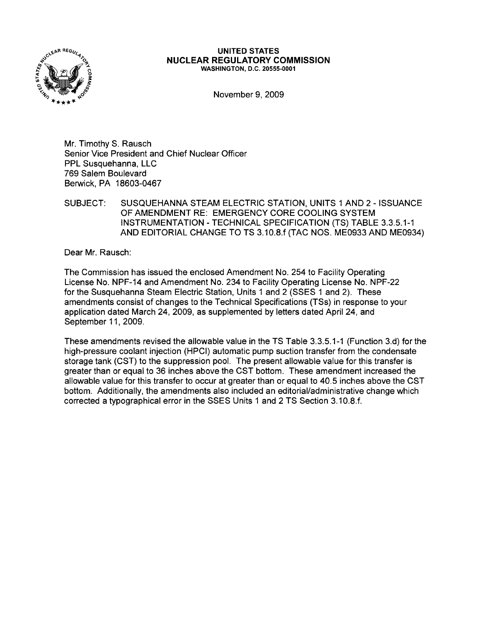

#### **UNITED** STATES **NUCLEAR REGULATORY COMMISSION** WASHINGTON, D.C. 20555-0001

November 9,2009

Mr. Timothy S. Rausch Senior Vice President and Chief Nuclear Officer PPL Susquehanna, LLC 769 Salem Boulevard Berwick, PA 18603-0467

SUBJECT: SUSQUEHANNA STEAM ELECTRIC STATION, UNITS 1 AND 2 - ISSUANCE OF AMENDMENT RE: EMERGENCY CORE COOLING SYSTEM INSTRUMENTATION - TECHNICAL SPECIFICATION (TS) TABLE 3.3.5.1-1 AND EDITORIAL CHANGE TO TS 3.10.8.f (TAC NOS. ME0933 AND ME0934)

Dear Mr. Rausch:

The Commission has issued the enclosed Amendment No. 254 to Facility Operating License No. NPF-14 and Amendment No. 234 to Facility Operating License No. NPF-22 for the Susquehanna Steam Electric Station, Units 1 and 2 (SSES 1 and 2). These amendments consist of changes to the Technical Specifications (TSs) in response to your application dated March 24, 2009, as supplemented by letters dated April 24, and September 11, 2009.

These amendments revised the allowable value in the TS Table 3.3.5.1-1 (Function 3.d) for the high-pressure coolant injection (HPCI) automatic pump suction transfer from the condensate storage tank (CST) to the suppression pool. The present allowable value for this transfer is greater than or equal to 36 inches above the CST bottom. These amendment increased the allowable value for this transfer to occur at greater than or equal to 40.5 inches above the CST bottom. Additionally, the amendments also included an editorial/administrative change which corrected a typographical error in the SSES Units 1 and 2 TS Section 3.10.8.f.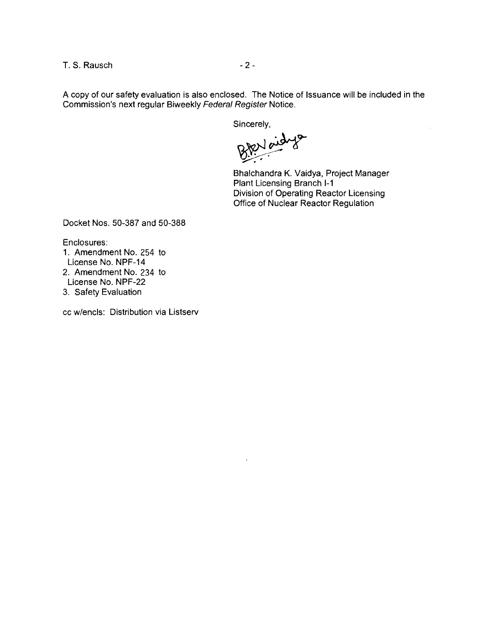T. S. Rausch **-2** -

A copy of our safety evaluation is also enclosed. The Notice of Issuance will be included in the Commission's next regular Biweekly Federal Register Notice.

Sincerely,

Bhalchandra K. Vaidya, Project Manager Plant Licensing Branch 1-1 Division of Operating Reactor Licensing Office of Nuclear Reactor Regulation

Docket Nos. 50-387 and 50-388

Enclosures:

- 1. Amendment No. 254 to License No. NPF-14 2. Amendment No. 234 to License No. NPF-22
- 3. Safety Evaluation

cc w/encls: Distribution via Listserv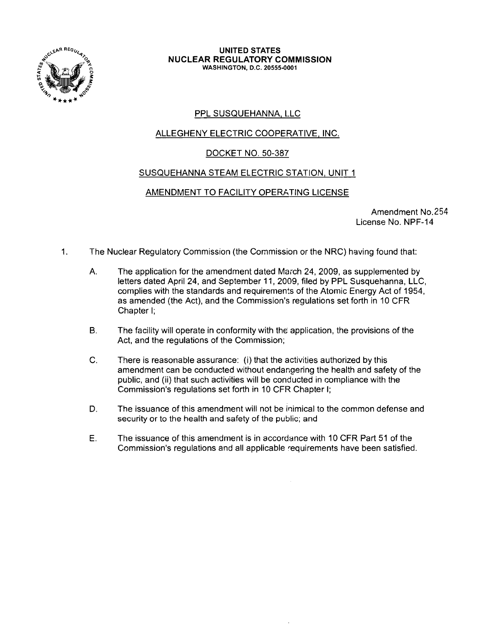

#### **UNITED** STATES **NUCLEAR REGULATORY COMMISSION** WASHINGTON, D.C. 20555-0001

# PPL SUSQUEHANNA, LLC

# <u>ALLEGHENY ELECTRIC COOPERATIVE, INC.</u>

# DOCKET NO. 50-387

# SUSQUEHANNA STEAM ELECTRIC STATION, UNIT 1

# AMENDMENT TO FACILITY OPERATING LICENSE

Amendment No.254 License No. NPF-14

- 1. The Nuclear Regulatory Commission (the Commission or the NRC) having found that:
	- A. The application for the amendment dated March 24, 2009, as supplemented by letters dated April 24, and September 11, 2009, filed by PPL Susquehanna, LLC, complies with the standards and requirements of the Atomic Energy Act of 1954, as amended (the Act), and the Commission's regulations set forth in 10 CFR Chapter I;
	- B. The facility will operate in conformity with the application, the provisions of the Act, and the regulations of the Commission;
	- C. There is reasonable assurance: (i) that the activities authorized by this amendment can be conducted without endangering the health and safety of the public, and (ii) that such activities will be conducted in compliance with the Commission's regulations set forth in 10 CFR Chapter I;
	- D. The issuance of this amendment will not be inimical to the common defense and security or to the health and safety of the public; and
	- E. The issuance of this amendment is in accordance with 10 CFR Part 51 of the Commission's regulations and all applicable requirements have been satisfied.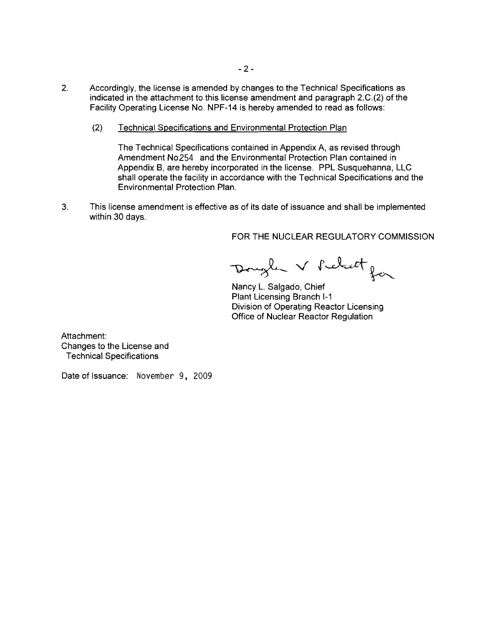- 2. Accordingly, the license is amended by changes to the Technical Specifications as indicated in the attachment to this license amendment and paragraph 2.C.(2) of the Facility Operating License No. NPF-14 is hereby amended to read as follows:
	- (2) Technical Specifications and Environmental Protection Plan

The Technical Specifications contained in Appendix A, as revised through Amendment No254 and the Environmental Protection Plan contained in Appendix B, are hereby incorporated in the license. PPL Susquehanna, LLC shall operate the facility in accordance with the Technical Specifications and the Environmental Protection Plan.

3. This license amendment is effective as of its date of issuance and shall be implemented within 30 days.

FOR THE NUCLEAR REGULATORY COMMISSION

Dougler V Pelett for

Nancy L. Salgado, Chief Plant Licensing Branch 1-1 Division of Operating Reactor Licensing Office of Nuclear Reactor Regulation

Attachment: Changes to the License and Technical Specifications

Date of Issuance: November 9. 2009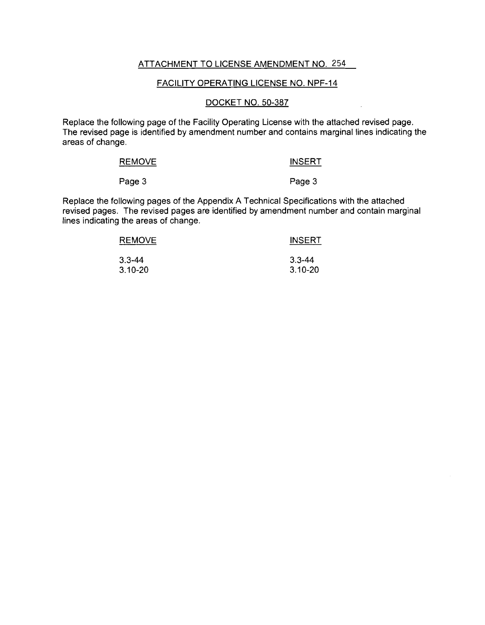# ATTACHMENT TO LICENSE AMENDMENT NO. 254

### FACILITY OPERATING LICENSE NO. NPF-14

### DOCKET NO. 50-387

Replace the following page of the Facility Operating License with the attached revised page. The revised page is identified by amendment number and contains marginal lines indicating the areas of change.

| REMOVE | <b>INSERT</b> |
|--------|---------------|
|        |               |

Page 3 Page 3

Replace the following pages of the Appendix A Technical Specifications with the attached revised pages. The revised pages are identified by amendment number and contain marginal lines indicating the areas of change.

| <b>REMOVE</b> | <b>INSERT</b> |
|---------------|---------------|
| $3.3 - 44$    | $3.3 - 44$    |
| $3.10 - 20$   | $3.10 - 20$   |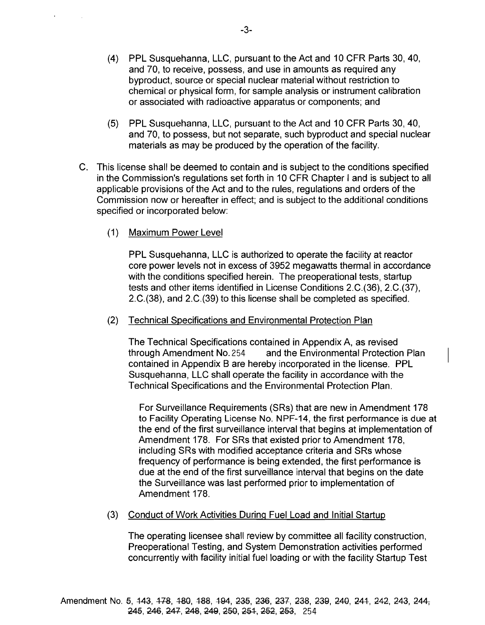- (4) PPL Susquehanna, LLC, pursuant to the Act and 10 CFR Parts 30, 40, and 70, to receive, possess, and use in amounts as required any byproduct, source or special nuclear material without restriction to chemical or physical form, for sample analysis or instrument calibration or associated with radioactive apparatus or components; and
- (5) PPL Susquehanna, LLC, pursuant to the Act and 10 CFR Parts 30, 40, and 70, to possess, but not separate, such byproduct and special nuclear materials as may be produced by the operation of the facility.
- C. This license shall be deemed to contain and is subject to the conditions specified in the Commission's regulations set forth in 10 CFR Chapter I and is subject to all applicable provisions of the Act and to the rules, regulations and orders of the Commission now or hereafter in effect; and is subject to the additional conditions specified or incorporated below:
	- (1) Maximum Power Level

PPL Susquehanna, LLC is authorized to operate the facility at reactor core power levels not in excess of 3952 megawatts thermal in accordance with the conditions specified herein. The preoperational tests, startup tests and other items identified in License Conditions 2.C.(36), 2.C.(37), 2.C.(38), and 2.C.(39) to this license shall be completed as specified.

(2) Technical Specifications and Environmental Protection Plan

The Technical Specifications contained in Appendix A, as revised through Amendment No. 254 and the Environmental Protection Plan contained in Appendix B are hereby incorporated in the license. PPL Susquehanna, LLC shall operate the facility in accordance with the Technical Specifications and the Environmental Protection Plan.

For Surveillance Requirements (SRs) that are new in Amendment 178 to Facility Operating License No. NPF-14, the first performance is due at the end of the first surveillance interval that begins at implementation of Amendment 178. For SRs that existed prior to Amendment 178, including SRs with modified acceptance criteria and SRs whose frequency of performance is being extended, the first performance is due at the end of the first surveillance interval that begins on the date the Surveillance was last performed prior to implementation of Amendment 178.

(3) Conduct of Work Activities During Fuel Load and Initial Startup

The operating licensee shall review by committee all facility construction, Preoperational Testing, and System Demonstration activities performed concurrently with facility initial fuel loading or with the facility Startup Test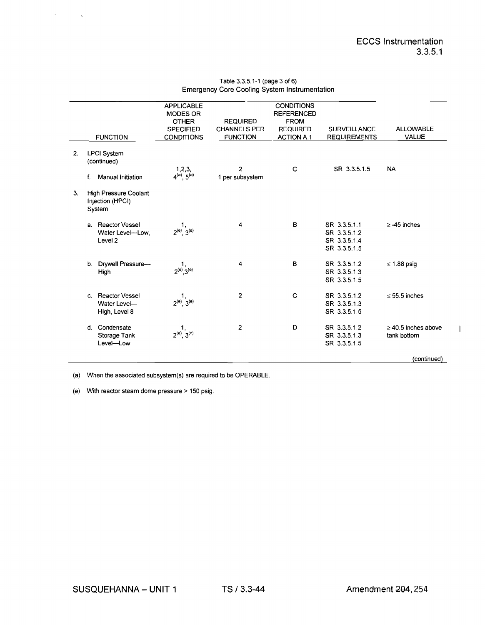$\overline{1}$ 

|                                                                  | <b>APPLICABLE</b><br><b>MODES OR</b><br><b>OTHER</b><br><b>SPECIFIED</b> | <b>REQUIRED</b><br><b>CHANNELS PER</b> | <b>CONDITIONS</b><br><b>REFERENCED</b><br><b>FROM</b><br><b>REQUIRED</b> | <b>SURVEILLANCE</b>                                          | <b>ALLOWABLE</b>                        |
|------------------------------------------------------------------|--------------------------------------------------------------------------|----------------------------------------|--------------------------------------------------------------------------|--------------------------------------------------------------|-----------------------------------------|
| <b>FUNCTION</b>                                                  | <b>CONDITIONS</b>                                                        | <b>FUNCTION</b>                        | <b>ACTION A.1</b>                                                        | <b>REQUIREMENTS</b>                                          | <b>VALUE</b>                            |
| 2.<br><b>LPCI System</b><br>(continued)                          |                                                                          | 2                                      | $\mathbf C$                                                              | SR 3.3.5.1.5                                                 | <b>NA</b>                               |
| Manual Initiation<br>f.                                          | $1,2,3,$<br>4 <sup>(a)</sup> , 5 <sup>(a)</sup>                          | 1 per subsystem                        |                                                                          |                                                              |                                         |
| <b>High Pressure Coolant</b><br>3.<br>Injection (HPCI)<br>System |                                                                          |                                        |                                                                          |                                                              |                                         |
| a. Reactor Vessel<br>Level <sub>2</sub>                          | $\frac{1}{2^{(e)}$ , $3^{(e)}}$<br>Water Level-Low,                      | 4                                      | B                                                                        | SR 3.3.5.1.1<br>SR 3.3.5.1.2<br>SR 3.3.5.1.4<br>SR 3.3.5.1.5 | $\ge$ -45 inches                        |
| b. Drywell Pressure-<br>High                                     | $\frac{1}{2^{(e)}, 3^{(e)}}$                                             | 4                                      | B                                                                        | SR 3.3.5.1.2<br>SR 3.3.5.1.3<br>SR 3.3.5.1.5                 | $\leq$ 1.88 psig                        |
| <b>Reactor Vessel</b><br>C.<br>Water Level-<br>High, Level 8     | $1, 2^{(e)}, 3^{(e)}$                                                    | $\overline{2}$                         | $\mathbf C$                                                              | SR 3.3.5.1.2<br>SR 3.3.5.1.3<br>SR 3.3.5.1.5                 | $\leq$ 55.5 inches                      |
| d. Condensate<br>Storage Tank<br>Level-Low                       | $\frac{1}{2^{(e)}$ , $3^{(e)}}$                                          | $\overline{2}$                         | D                                                                        | SR 3.3.5.1.2<br>SR 3.3.5.1.3<br>SR 3.3.5.1.5                 | $\geq$ 40.5 inches above<br>tank bottom |
|                                                                  |                                                                          |                                        |                                                                          |                                                              | (continued)                             |

#### Table 3.3.5.1-1 (page 3 of 6) Emergency Core Cooling System Instrumentation

(a) When the associated subsystem(s) are required to be OPERABLE.

(e) With reactor steam dome pressure> 150 psig.

 $\mathcal{L}^{\text{max}}$ 

 $\sim 10^6$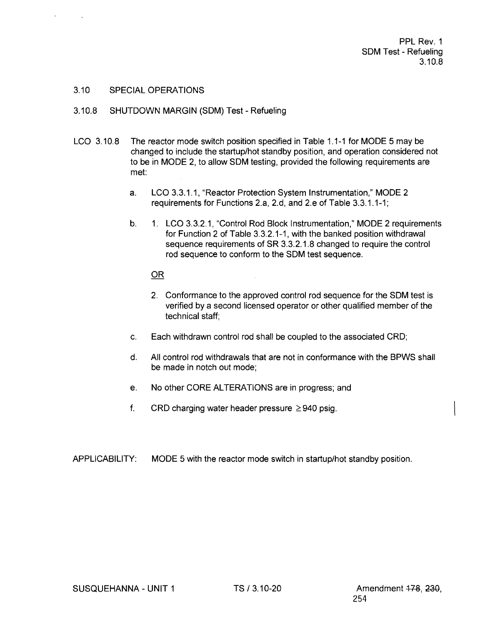PPL Rev. 1 SDM Test - Refueling 3.10.8

## 3.10 SPECIAL OPERATIONS

- 3.10.8 SHUTDOWN MARGIN (SDM) Test Refueling
- LCO 3.10.8 The reactor mode switch position specified in Table 1.1-1 for MODE 5 may be changed to include the startup/hot standby position, and operation considered not to be in MODE 2, to allow SDM testing, provided the following requirements are met:
	- a. LCO 3.3.1.1, "Reactor Protection System Instrumentation," MODE 2 requirements for Functions 2.a, 2.d, and 2.e of Table 3.3.1.1-1;
	- b. 1. LCO 3.3.2.1, "Control Rod Block Instrumentation," MODE 2 requirements for Function 2 of Table 3.3.2.1-1, with the banked position withdrawal sequence requirements of SR 3.3.2.1.8 changed to require the control rod sequence to conform to the SDM test sequence.

## OR

- 2. Conformance to the approved control rod sequence for the SDM test is verified by a second licensed operator or other qualified member of the technical staff;
- c. Each withdrawn control rod shall be coupled to the associated CRD;
- d. All control rod withdrawals that are not in conformance with the BPWS shall be made in notch out mode;
- e. No other CORE ALTERATIONS are in progress; and
- f. CRD charging water header pressure  $\geq$ 940 psig.
- APPLICABILITY: MODE 5 with the reactor mode switch in startup/hot standby position.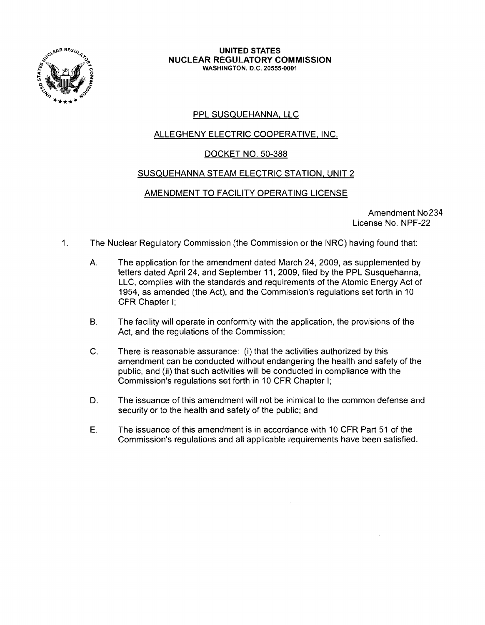

#### **UNITED STATES NUCLEAR REGULATORY COMMISSION** WASHINGTON, D.C. 20555-0001

# PPL SUSQUEHANNA, LLC

# ALLEGHENY ELECTRIC COOPERATIVE, INC.

# DOCKET NO. 50-388

## SUSQUEHANNA STEAM ELECTRIC STATION, UNIT 2

## AMENDMENT TO FACILITY OPERATING LICENSE

Amendment No234 License No. NPF-22

- 1. The Nuclear Regulatory Commission (the Commission or the NRC) having found that:
	- A. The application for the amendment dated March 24, 2009, as supplemented by letters dated April 24, and September 11, 2009, filed by the PPL Susquehanna, LLC, complies with the standards and requirements of the Atomic Energy Act of '1954, as amended (the Act), and the Commission's regulations set forth in 10 CFR Chapter I;
	- B. The facility will operate in conformity with the application, the provisions of the Act, and the regulations of the Commission:
	- C. There is reasonable assurance: (i) that the activities authorized by this amendment can be conducted without endangering the health and safety of the public, and (ii) that such activities will be conducted in compliance with the Commission's regulations set forth in 10 CFR Chapter I;
	- D. The issuance of this amendment will not be inimical to the common defense and security or to the health and safety of the public; and
	- E. The issuance of this amendment is in accordance with 10 CFR Part 51 of the Commission's regulations and all applicable requirements have been satisfied.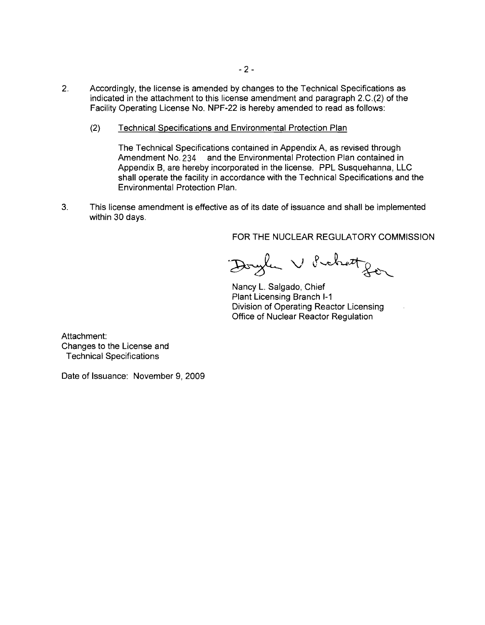- 2. Accordingly, the license is amended by changes to the Technical Specifications as indicated in the attachment to this license amendment and paragraph 2.C.(2) of the Facility Operating License No. NPF-22 is hereby amended to read as follows:
	- (2) Technical Specifications and Environmental Protection Plan

The Technical Specifications contained in Appendix A, as revised through Amendment No. 234 and the Environmental Protection Plan contained in Appendix B, are hereby incorporated in the license. PPL Susquehanna, LLC shall operate the facility in accordance with the Technical Specifications and the Environmental Protection Plan.

3. This license amendment is effective as of its date of issuance and shall be implemented within 30 days.

FOR THE NUCLEAR REGULATORY COMMISSION

Doyle V Prehetzer

Nancy L. Salgado, Chief Plant Licensing Branch 1-1 Division of Operating Reactor Licensing Office of Nuclear Reactor Regulation

Attachment: Changes to the License and Technical Specifications

Date of Issuance: November 9, 2009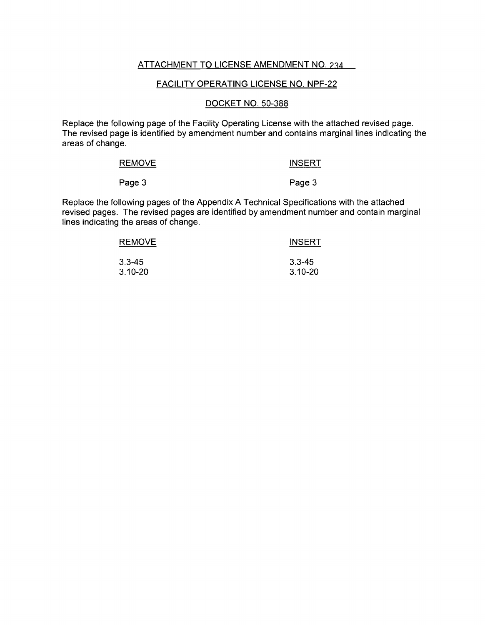# ATTACHMENT TO LICENSE AMENDMENT NO. 234

### FACILITY OPERATING LICENSE NO. NPF-22

## DOCKET NO. 50-388

Replace the following page of the Facility Operating License with the attached revised page. The revised page is identified by amendment number and contains marginal lines indicating the areas of change.

| <b>REMOVE</b> | <b>INSERT</b> |
|---------------|---------------|
| Page 3        | Page 3        |

Replace the following pages of the Appendix A Technical Specifications with the attached revised pages. The revised pages are identified by amendment number and contain marginal lines indicating the areas of change.

| <b>REMOVE</b> | <b>INSERT</b> |
|---------------|---------------|
| $3.3 - 45$    | $3.3 - 45$    |
| $3.10 - 20$   | $3.10 - 20$   |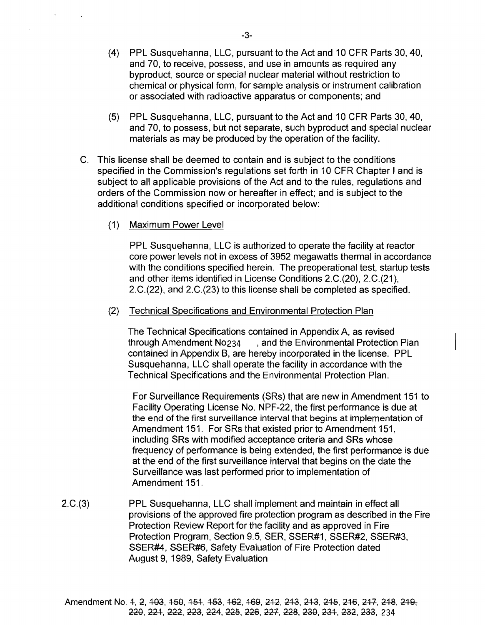- (4) PPL Susquehanna, LLC, pursuant to the Act and 10 CFR Parts 30, 40, and 70, to receive, possess, and use in amounts as required any byproduct, source or special nuclear material without restriction to chemical or physical form, for sample analysis or instrument calibration or associated with radioactive apparatus or components; and
- (5) PPL Susquehanna, LLC, pursuant to the Act and 10 CFR Parts 30, 40, and 70, to possess, but not separate, such byproduct and special nuclear materials as may be produced by the operation of the facility.
- C. This license shall be deemed to contain and is subject to the conditions specified in the Commission's regulations set forth in 10 CFR Chapter I and is subject to all applicable provisions of the Act and to the rules, regulations and orders of the Commission now or hereafter in effect; and is subject to the additional conditions specified or incorporated below:
	- (1) Maximum Power Level

PPL Susquehanna, LLC is authorized to operate the facility at reactor core power levels not in excess of 3952 megawatts thermal in accordance with the conditions specified herein. The preoperational test, startup tests and other items identified in License Conditions 2.C.(20), 2.C.(21), 2.C.(22), and 2.C.(23) to this license shall be completed as specified.

(2) Technical Specifications and Environmental Protection Plan

The Technical Specifications contained in Appendix A, as revised through Amendment N0234 , and the Environmental Protection Plan contained in Appendix B, are hereby incorporated in the license. PPL Susquehanna, LLC shall operate the facility in accordance with the Technical Specifications and the Environmental Protection Plan.

For Surveillance Requirements (SRs) that are new in Amendment 151 to Facility Operating License No. NPF-22, the first performance is due at the end of the first surveillance interval that begins at implementation of Amendment 151. For SRs that existed prior to Amendment 151, including SRs with modified acceptance criteria and SRs whose frequency of performance is being extended, the first performance is due at the end of the first surveillance interval that begins on the date the Surveillance was last performed prior to implementation of Amendment 151.

2.C.(3) PPL Susquehanna, LLC shall implement and maintain in effect all provisions of the approved fire protection program as described in the Fire Protection Review Report for the facility and as approved in Fire Protection Program, Section 9.5, SER, SSER#1, SSER#2, SSER#3, SSER#4, SSER#6, Safety Evaluation of Fire Protection dated August 9, 1989, Safety Evaluation

Amendment No. 4, 2, 103, 150, 151, 153, 162, 169, 212, 213, 213, 215, 216, 217, 218, 219-220, 221, 222, 223, 224, 225, 226, 227, 228, 230, 231, 232, 233, 234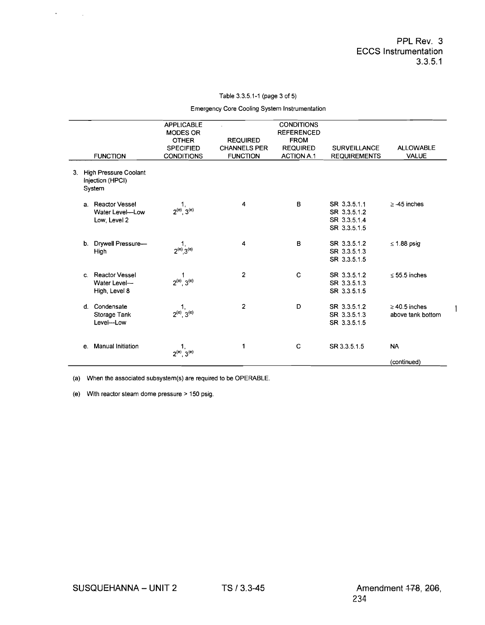$\mathbf{I}$ 

#### Table 3.3.5.1-1 (page 3 of 5)

Emergency Core Cooling System Instrumentation

|                                                                | <b>APPLICABLE</b><br><b>MODES OR</b><br><b>OTHER</b><br><b>SPECIFIED</b> | <b>REQUIRED</b><br><b>CHANNELS PER</b> | <b>CONDITIONS</b><br><b>REFERENCED</b><br><b>FROM</b><br><b>REQUIRED</b> | <b>SURVEILLANCE</b>                                          | <b>ALLOWABLE</b>                        |
|----------------------------------------------------------------|--------------------------------------------------------------------------|----------------------------------------|--------------------------------------------------------------------------|--------------------------------------------------------------|-----------------------------------------|
| <b>FUNCTION</b>                                                | <b>CONDITIONS</b>                                                        | <b>FUNCTION</b>                        | <b>ACTION A.1</b>                                                        | <b>REQUIREMENTS</b>                                          | <b>VALUE</b>                            |
| 3. High Pressure Coolant<br>Injection (HPCI)<br>System         |                                                                          |                                        |                                                                          |                                                              |                                         |
| <b>Reactor Vessel</b><br>a.<br>Water Level-Low<br>Low, Level 2 | $\frac{1}{2^{(e)}\cdot 3^{(e)}}$                                         | 4                                      | B                                                                        | SR 3.3.5.1.1<br>SR 3.3.5.1.2<br>SR 3.3.5.1.4<br>SR 3.3.5.1.5 | $\geq$ -45 inches                       |
| b. Drywell Pressure-<br>High                                   | $1, 2^{(e)}, 3^{(e)}$                                                    | 4                                      | B                                                                        | SR 3.3.5.1.2<br>SR 3.3.5.1.3<br>SR 3.3.5.1.5                 | $\leq$ 1.88 psig                        |
| c. Reactor Vessel<br>Water Level-<br>High, Level 8             | $2^{(e)} 3^{(e)}$                                                        | 2                                      | C                                                                        | SR 3.3.5.1.2<br>SR 3.3.5.1.3<br>SR 3.3.5.1.5                 | $\leq$ 55.5 inches                      |
| Condensate<br>d.<br>Storage Tank<br>Level-Low                  | $1, 2^{(e)}$ , $3^{(e)}$                                                 | $\overline{2}$                         | D                                                                        | SR 3.3.5.1.2<br>SR 3.3.5.1.3<br>SR 3.3.5.1.5                 | $\geq$ 40.5 inches<br>above tank bottom |
| <b>Manual Initiation</b><br>e.                                 | $\frac{1}{2^{(e)}}3^{(e)}$                                               | 1                                      | C                                                                        | SR 3.3.5.1.5                                                 | <b>NA</b>                               |
|                                                                |                                                                          |                                        |                                                                          |                                                              | (continued)                             |

(a) When the associated subsystem(s) are required to be OPERABLE.

(e) With reactor steam dome pressure > 150 psig.

 $\epsilon_{\rm{max}}=1$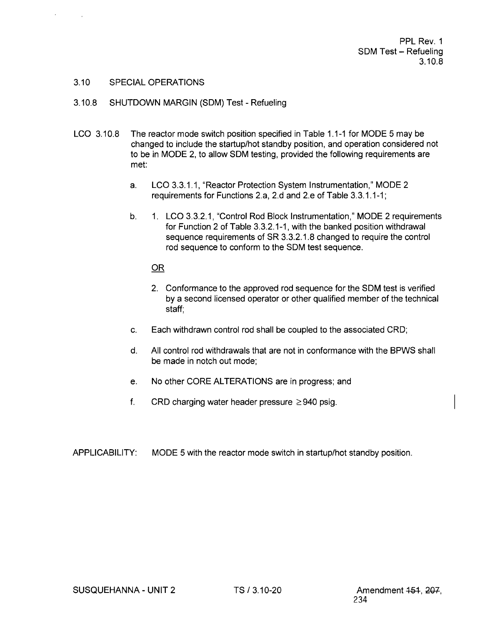PPL Rev. 1 SDM Test - Refueling 3.10.8

### 3.10 SPECIAL OPERATIONS

- 3.10.8 SHUTDOWN MARGIN (SDM) Test Refueling
- LCO 3.10.8 The reactor mode switch position specified in Table 1.1-1 for MODE 5 may be changed to include the startup/hot standby position, and operation considered not to be in MODE 2, to allow SDM testing, provided the following requirements are met
	- a. LCO 3.3.1.1, "Reactor Protection System Instrumentation," MODE 2 requirements for Functions 2.a, 2.d and 2.e of Table 3.3.1.1-1;
	- b. 1. LCO 3.3.2.1, "Control Rod Block Instrumentation," MODE 2 requirements for Function 2 of Table 3.3.2.1-1, with the banked position withdrawal sequence requirements of SR 3.3.2.1.8 changed to require the control rod sequence to conform to the SDM test sequence.

### $OR$

- 2. Conformance to the approved rod sequence for the SDM test is verified by a second licensed operator or other qualified member of the technical staff;
- c. Each withdrawn control rod shall be coupled to the associated CRD;
- d. All control rod withdrawals that are not in conformance with the BPWS shall be made in notch out mode;
- e. No other CORE ALTERATIONS are in progress; and
- f. CRD charging water header pressure  $\geq$  940 psig.
- APPLICABILITY: MODE 5 with the reactor mode switch in startup/hot standby position.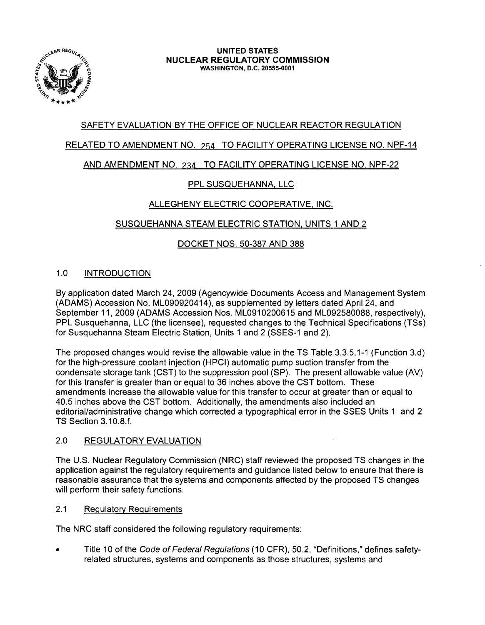

#### UNITED STATES NUCLEAR REGULATORY COMMISSION WASHINGTON, D.C. 20555-0001

# SAFETY EVALUATION BY THE OFFICE OF NUCLEAR REACTOR REGULATION

# RELATED TO AMENDMENT NO. 254 TO FACILITY OPERATING LICENSE NO. NPF-14

# AND AMENDMENT NO. 234 TO FACILITY OPERATING LICENSE NO. NPF-22

# PPL SUSQUEHANNA, LLC

# ALLEGHENY ELECTRIC COOPERATIVE, INC.

# SUSQUEHANNA STEAM ELECTRIC STATION, UNITS 1 AND 2

## DOCKET NOS. 50-387 AND 388

# 1.0 INTRODUCTION

By application dated March 24, 2009 (Agencywide Documents Access and Management System (ADAMS) Accession No. ML090920414), as supplemented by letters dated April 24, and September 11, 2009 (ADAMS Accession Nos. ML0910200615 and ML092580088, respectively), PPL Susquehanna, LLC (the licensee), requested changes to the Technical Specifications (TSs) for Susquehanna Steam Electric Station, Units 1 and 2 (SSES-1 and 2).

The proposed changes would revise the allowable value in the TS Table 3.3.5.1-1 (Function 3.d) for the high-pressure coolant injection (HPCI) automatic pump suction transfer from the condensate storage tank (CST) to the suppression pool (SP). The present allowable value (AV) for this transfer is greater than or equal to 36 inches above the CST bottom. These amendments increase the allowable value for this transfer to occur at greater than or equal to 40.5 inches above the CST bottom. Additionally, the amendments also included an editorial/administrative change which corrected a typographical error in the SSES Units 1 and 2 TS Section 3.10.8.f.

### 2.0 REGULATORY EVALUATION

The U.S. Nuclear Regulatory Commission (NRC) staff reviewed the proposed TS changes in the application against the regulatory requirements and guidance listed below to ensure that there is reasonable assurance that the systems and components affected by the proposed TS changes will perform their safety functions.

## 2.1 Regulatory Requirements

The NRC staff considered the following regulatory requirements:

Title 10 of the Code of Federal Regulations (10 CFR), 50.2, "Definitions," defines safetyrelated structures, systems and components as those structures, systems and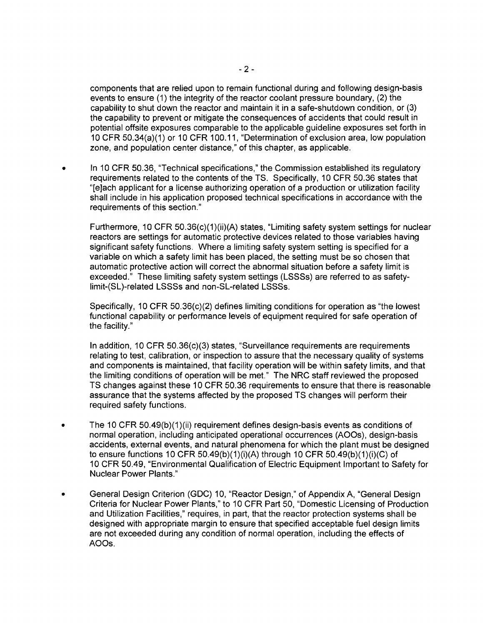components that are relied upon to remain functional during and following design-basis events to ensure (1) the integrity of the reactor coolant pressure boundary, (2) the capability to shut down the reactor and maintain it in a safe-shutdown condition, or (3) the capability to prevent or mitigate the consequences of accidents that could result in potential offsite exposures comparable to the applicable guideline exposures set forth in 10 CFR 50.34(a)(1) or 10 CFR 100.11, "Determination of exclusion area, low population zone, and population center distance," of this chapter, as applicable.

In 10 CFR 50.36, "Technical specifications," the Commission established its regulatory requirements related to the contents of the TS. Specifically, 10 CFR 50.36 states that "[e]ach applicant for a license authorizing operation of a production or utilization facility shall include in his application proposed technical specifications in accordance with the requirements of this section."

Furthermore, 10 CFR 50.36(c)(1)(ii)(A) states, "Limiting safety system settings for nuclear reactors are settings for automatic protective devices related to those variables having significant safety functions. Where a limiting safety system setting is specified for a variable on which a safety limit has been placed, the setting must be so chosen that automatic protective action will correct the abnormal situation before a safety limit is exceeded." These limiting safety system settings (LSSSs) are referred to as safetylimit-(SL)-related LSSSs and non-SL-related LSSSs.

Specifically, 10 CFR 50.36(c)(2) defines limiting conditions for operation as "the lowest functional capability or performance levels of equipment required for safe operation of the facility."

In addition, 10 CFR 50.36(c)(3) states, "Surveillance requirements are requirements relating to test, calibration, or inspection to assure that the necessary quality of systems and components is maintained, that facility operation will be within safety limits, and that the limiting conditions of operation will be met." The NRC staff reviewed the proposed TS changes against these 10 CFR 50.36 requirements to ensure that there is reasonable assurance that the systems affected by the proposed TS changes will perform their required safety functions.

- The 10 CFR 50.49(b)(1)(ii) requirement defines design-basis events as conditions of normal operation, including anticipated operational occurrences (AOOs), design-basis accidents, external events, and natural phenomena for which the plant must be designed to ensure functions 10 CFR 50.49(b)(1 )(i)(A) through 10 CFR 50.49(b)(1 )(i)(G) of 10 CFR 50.49, "Environmental Qualification of Electric Equipment Important to Safety for Nuclear Power Plants."
- General Design Criterion (GDC) 10, "Reactor Design," of Appendix A, "General Design Criteria for Nuclear Power Plants," to 10 CFR Part 50, "Domestic Licensing of Production and Utilization Facilities," requires, in part, that the reactor protection systems shall be designed with appropriate margin to ensure that specified acceptable fuel design limits are not exceeded during any condition of normal operation, including the effects of AOOs.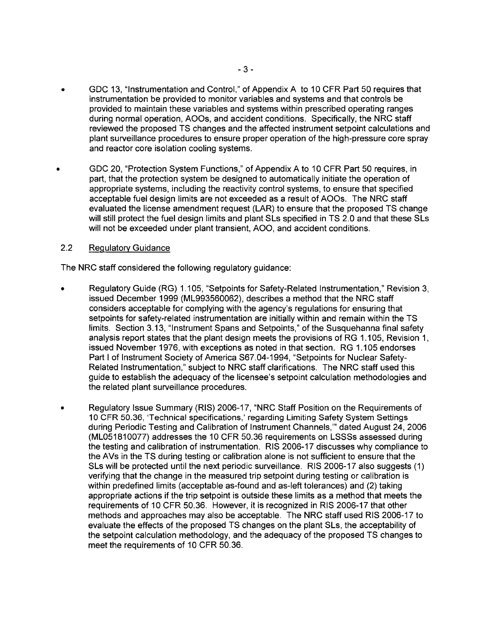- GDC 13, "Instrumentation and Control," of Appendix A to 10 CFR Part 50 requires that instrumentation be provided to monitor variables and systems and that controls be provided to maintain these variables and systems within prescribed operating ranges during normal operation, AOOs, and accident conditions. Specifically, the NRC staff reviewed the proposed TS changes and the affected instrument setpoint calculations and plant surveillance procedures to ensure proper operation of the high-pressure core spray and reactor core isolation cooling systems.
- GDC 20, "Protection System Functions," of Appendix A to 10 CFR Part 50 requires, in part, that the protection system be designed to automatically initiate the operation of appropriate systems, including the reactivity control systems, to ensure that specified acceptable fuel design limits are not exceeded as a result of AOOs. The NRC staff evaluated the license amendment request (LAR) to ensure that the proposed TS change will still protect the fuel design limits and plant SLs specified in TS 2.0 and that these SLs will not be exceeded under plant transient, AOO, and accident conditions.

## 2.2 Regulatory Guidance

The NRC staff considered the following regulatory guidance:

- Regulatory Guide (RG) 1.105, "Setpoints for Safety-Related Instrumentation," Revision 3, issued December 1999 (ML993560062), describes a method that the NRC staff considers acceptable for complying with the agency's regulations for ensuring that setpoints for safety-related instrumentation are initially within and remain within the TS limits. Section 3.13, "Instrument Spans and Setpoints," of the Susquehanna final safety analysis report states that the plant design meets the provisions of RG 1.105, Revision 1, issued November 1976, with exceptions as noted in that section. RG 1.105 endorses Part I of Instrument Society of America S67.04-1994, "Setpoints for Nuclear Safety-Related Instrumentation," subject to NRC staff clarifications. The NRC staff used this guide to establish the adequacy of the licensee's setpoint calculation methodologies and the related plant surveillance procedures.
- Regulatory Issue Summary (RIS) 2006-17, "NRC Staff Position on the Requirements of 10 CFR 50.36, 'Technical specifications,' regarding Limiting Safety System Settings during Periodic Testing and Calibration of Instrument Channels,'" dated August 24,2006 (ML051810077) addresses the 10 CFR 50.36 requirements on LSSSs assessed during the testing and calibration of instrumentation. RIS 2006-17 discusses why compliance to the AVs in the TS during testing or calibration alone is not sufficient to ensure that the SLs will be protected until the next periodic surveillance. RIS 2006-17 also suggests (1) verifying that the change in the measured trip setpoint during testing or calibration is within predefined limits (acceptable as-found and as-left tolerances) and (2) taking appropriate actions if the trip setpoint is outside these limits as a method that meets the requirements of 10 CFR 50.36. However, it is recognized in RIS 2006-17 that other methods and approaches may also be acceptable. The NRC staff used RIS 2006-17 to evaluate the effects of the proposed TS changes on the plant SLs, the acceptability of the setpoint calculation methodology, and the adequacy of the proposed TS changes to meet the requirements of 10 CFR 50.36.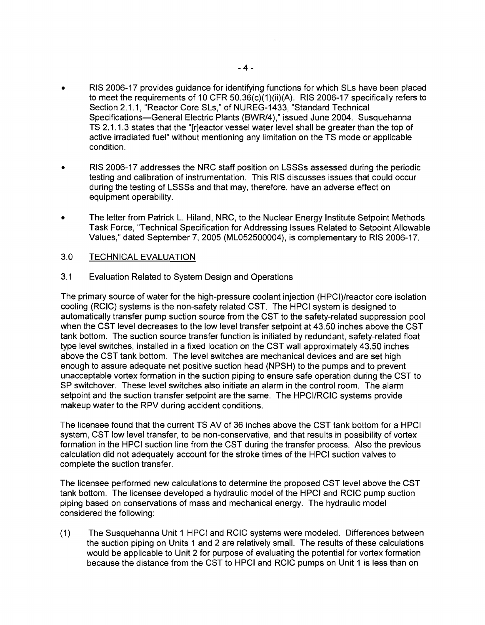- RIS 2006-17 provides guidance for identifying functions for which SLs have been placed to meet the requirements of 10 CFR 50.36(c)(1)(ii)(A). RIS 2006-17 specifically refers to Section 2.1.1, "Reactor Core SLs," of NUREG-1433, "Standard Technical Specifications-General Electric Plants (BWR/4)," issued June 2004. Susquehanna TS 2.1.1.3 states that the "[r]eactor vessel water level shall be greater than the top of active irradiated fuel" without mentioning any limitation on the TS mode or applicable condition.
- RIS 2006-17 addresses the NRC staff position on LSSSs assessed during the periodic testing and calibration of instrumentation. This RIS discusses issues that could occur during the testing of LSSSs and that may, therefore, have an adverse effect on equipment operability.
- The letter from Patrick L. Hiland, NRC, to the Nuclear Energy Institute Setpoint Methods Task Force, "Technical Specification for Addressing Issues Related to Setpoint Allowable Values," dated September 7,2005 (ML052500004), is complementary to RIS 2006-17.

### 3.0 TECHNICAL EVALUATION

## 3.1 Evaluation Related to System Design and Operations

The primary source of water for the high-pressure coolant injection (HPCI)/reactor core isolation cooling (RCIC) systems is the non-safety related CST. The HPCI system is designed to automatically transfer pump suction source from the CST to the safety-related suppression pool when the CST level decreases to the low level transfer setpoint at 43.50 inches above the CST tank bottom. The suction source transfer function is initiated by redundant, safety-related float type level switches, installed in a fixed location on the CST wall approximately 43.50 inches above the CST tank bottom. The level switches are mechanical devices and are set high enough to assure adequate net positive suction head (NPSH) to the pumps and to prevent unacceptable vortex formation in the suction piping to ensure safe operation during the CST to SP switchover. These level switches also initiate an alarm in the control room. The alarm setpoint and the suction transfer setpoint are the same. The HPCI/RCIC systems provide makeup water to the RPV during accident conditions.

The licensee found that the current TS AV of 36 inches above the CST tank bottom for a HPCI system, CST low level transfer, to be non-conservative, and that results in possibility of vortex formation in the HPCI suction line from the CST during the transfer process. Also the previous calculation did not adequately account for the stroke times of the HPCI suction valves to complete the suction transfer.

The licensee performed new calculations to determine the proposed CST level above the CST tank bottom. The licensee developed a hydraulic model of the HPCI and RCIC pump suction piping based on conservations of mass and mechanical energy. The hydraulic model considered the following:

(1) The Susquehanna Unit 1 HPCI and RCIC systems were modeled. Differences between the suction piping on Units 1 and 2 are relatively small. The results of these calculations would be applicable to Unit 2 for purpose of evaluating the potential for vortex formation because the distance from the CST to HPCI and RCIC pumps on Unit 1 is less than on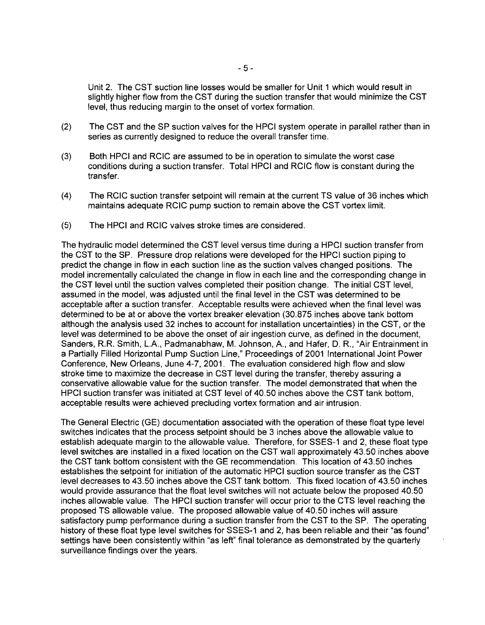Unit 2. The CST suction line losses would be smaller for Unit 1 which would result in slightly higher flow from the CST during the suction transfer that would minimize the CST level, thus reducing margin to the onset of vortex formation.

- (2) The CST and the SP suction valves for the HPCI system operate in parallel rather than in series as currently designed to reduce the overall transfer time.
- (3) Both HPCI and RCIC are assumed to be in operation to simulate the worst case conditions during a suction transfer. Total HPCI and RCIC flow is constant during the transfer.
- (4) The RCIC suction transfer setpoint will remain at the current TS value of 36 inches which maintains adequate RCIC pump suction to remain above the CST vortex limit.
- (5) The HPCI and RCIC valves stroke times are considered.

The hydraulic model determined the CST level versus time during a HPCI suction transfer from the CST to the SP. Pressure drop relations were developed for the HPCI suction piping to predict the change in flow in each suction line as the suction valves changed positions. The model incrementally calculated the change in flow in each line and the corresponding change in the CST level until the suction valves completed their position change. The initial CST level, assumed in the model, was adjusted until the final level in the CST was determined to be acceptable after a suction transfer. Acceptable results were achieved when the final level was determined to be at or above the vortex breaker elevation (30.875 inches above tank bottom although the analysis used 32 inches to account for installation uncertainties) in the CST, or the level was determined to be above the onset of air ingestion curve, as defined in the document, Sanders, R.R. Smith, L.A., Padmanabhaw, M. Johnson, A., and Hafer, D. R., "Air Entrainment in a Partially Filled Horizontal Pump Suction Line," Proceedings of 2001 International Joint Power Conference, New Orleans, June 4-7, 2001. The evaluation considered high flow and slow stroke time to maximize the decrease in CST level during the transfer, thereby assuring a conservative allowable value for the suction transfer. The model demonstrated that when the HPCI suction transfer was initiated at CST level of 40.50 inches above the CST tank bottom, acceptable results were achieved precluding vortex formation and air intrusion.

The General Electric (GE) documentation associated with the operation of these float type level switches indicates that the process setpoint should be 3 inches above the allowable value to establish adequate margin to the allowable value. Therefore, for SSES-1 and 2, these float type level switches are installed in a fixed location on the CST wall approximately 43.50 inches above the CST tank bottom consistent with the GE recommendation. This location of 43.50 inches establishes the setpoint for initiation of the automatic HPCI suction source transfer as the CST level decreases to 43.50 inches above the CST tank bottom. This fixed location of 43.50 inches would provide assurance that the float level switches will not actuate below the proposed 40.50 inches allowable value. The HPCI suction transfer will occur prior to the CTS level reaching the proposed TS allowable value. The proposed allowable value of 40.50 inches will assure satisfactory pump performance during a suction transfer from the CST to the SP. The operating history of these float type level switches for SSES-1 and 2, has been reliable and their "as found" settings have been consistently within "as left" final tolerance as demonstrated by the quarterly surveillance findings over the years.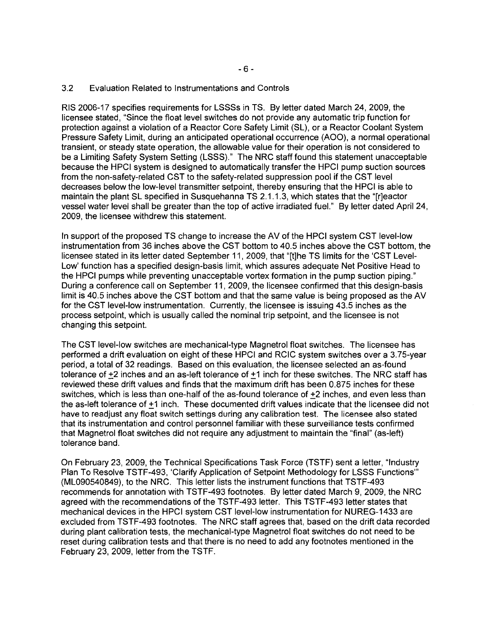### 3.2 Evaluation Related to Instrumentations and Controls

RIS 2006-17 specifies requirements for LSSSs in TS. By letter dated March 24, 2009, the licensee stated, "Since the float level switches do not provide any automatic trip function for protection against a violation of a Reactor Core Safety Limit (SL), or a Reactor Coolant System Pressure Safety Limit, during an anticipated operational occurrence (AOO), a normal operational transient, or steady state operation, the allowable value for their operation is not considered to be a Limiting Safety System Setting (LSSS)." The NRC staff found this statement unacceptable because the HPCI system is designed to automatically transfer the HPCI pump suction sources from the non-safety-related CST to the safety-related suppression pool if the CST level decreases below the low-level transmitter setpoint, thereby ensuring that the HPCI is able to maintain the plant SL specified in Susquehanna TS 2.1.1.3, which states that the "[r]eactor vessel water level shall be greater than the top of active irradiated fuel." By letter dated April 24, 2009, the licensee withdrew this statement.

In support of the proposed TS change to increase the AV of the HPCI system CST level-low instrumentation from 36 inches above the CST bottom to 40.5 inches above the CST bottom, the licensee stated in its letter dated September 11, 2009, that "[t]he TS limits for the 'CST Level-Low' function has a specified design-basis limit, which assures adequate Net Positive Head to the HPCI pumps while preventing unacceptable vortex formation in the pump suction piping." During a conference call on September 11, 2009, the licensee confirmed that this design-basis limit is 40.5 inches above the CST bottom and that the same value is being proposed as the AV for the CST level-low instrumentation. Currently, the licensee is issuing 43.5 inches as the process setpoint, which is usually called the nominal trip setpoint, and the licensee is not changing this setpoint.

The CST level-low switches are mechanical-type Magnetrol float switches. The licensee has performed a drift evaluation on eight of these HPCI and RCIC system switches over a 3.75-year period, a total of 32 readings. Based on this evaluation, the licensee selected an as-found tolerance of +2 inches and an as-left tolerance of +1 inch for these switches. The NRC staff has reviewed these drift values and finds that the maximum drift has been 0.875 inches for these switches, which is less than one-half of the as-found tolerance of +2 inches, and even less than the as-left tolerance of +1 inch. These documented drift values indicate that the licensee did not have to readjust any float switch settings during any calibration test. The licensee also stated that its instrumentation and control personnel familiar with these surveillance tests confirmed that Magnetrol float switches did not require any adjustment to maintain the "final" (as-left) tolerance band.

On February 23, 2009, the Technical Specifications Task Force (TSTF) sent a letter, "Industry Plan To Resolve TSTF-493, 'Clarify Application of Setpoint Methodology for LSSS Functions'" (ML090540849), to the NRC. This letter lists the instrument functions that TSTF-493 recommends for annotation with TSTF-493 footnotes. By letter dated March 9, 2009, the NRC agreed with the recommendations of the TSTF-493 letter. This TSTF-493 letter states that mechanical devices in the HPCI system CST level-low instrumentation for NUREG-1433 are excluded from TSTF-493 footnotes. The NRC staff agrees that, based on the drift data recorded during plant calibration tests, the mechanical-type Magnetrol float switches do not need to be reset during calibration tests and that there is no need to add any footnotes mentioned in the February 23,2009, letter from the TSTF.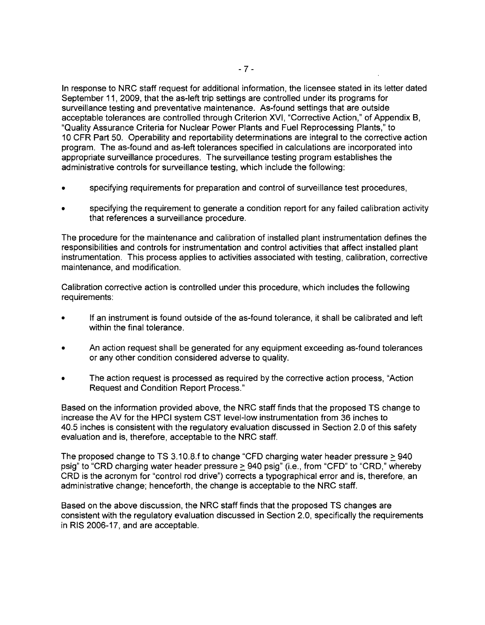In response to NRC staff request for additional information, the licensee stated in its letter dated September 11, 2009, that the as-left trip settings are controlled under its programs for surveillance testing and preventative maintenance. As-found settings that are outside acceptable tolerances are controlled through Criterion XVI, "Corrective Action," of Appendix B, "Quality Assurance Criteria for Nuclear Power Plants and Fuel Reprocessing Plants," to 10 CFR Part 50. Operability and reportability determinations are integral to the corrective action program. The as-found and as-left tolerances specified in calculations are incorporated into appropriate surveillance procedures. The surveillance testing program establishes the administrative controls for surveillance testing, which include the following:

- specifying requirements for preparation and control of surveillance test procedures.
- specifying the requirement to generate a condition report for any failed calibration activity that references a surveillance procedure.

The procedure for the maintenance and calibration of installed plant instrumentation defines the responsibilities and controls for instrumentation and control activities that affect installed plant instrumentation. This process applies to activities associated with testing, calibration, corrective maintenance, and modification.

Calibration corrective action is controlled under this procedure, which includes the following requirements:

- If an instrument is found outside of the as-found tolerance, it shall be calibrated and left within the final tolerance.
- An action request shall be generated for any equipment exceeding as-found tolerances or any other condition considered adverse to quality.
- The action request is processed as required by the corrective action process, "Action" Request and Condition Report Process."

Based on the information provided above, the NRC staff finds that the proposed TS change to increase the AV for the HPCI system CST level-low instrumentation from 36 inches to 40.5 inches is consistent with the regulatory evaluation discussed in Section 2.0 of this safety evaluation and is, therefore, acceptable to the NRC staff.

The proposed change to TS 3.10.8.f to change "CFD charging water header pressure  $\geq$  940 psig" to "CRD charging water header pressure > 940 psig" (i.e., from "CFD" to "CRD," whereby CRD is the acronym for "control rod drive") corrects a typographical error and is, therefore, an administrative change; henceforth, the change is acceptable to the NRC staff.

Based on the above discussion, the NRC staff finds that the proposed TS changes are consistent with the regulatory evaluation discussed in Section 2.0, specifically the requirements in RIS 2006-17, and are acceptable.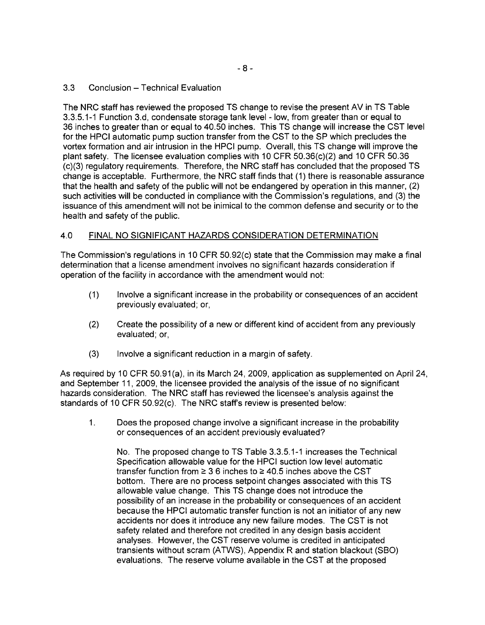## 3.3 Conclusion - Technical Evaluation

The NRC staff has reviewed the proposed TS change to revise the present AV in TS Table 3.3.5.1-1 Function 3.d, condensate storage tank level - low, from greater than or equal to 36 inches to greater than or equal to 40.50 inches. This TS change will increase the CST level for the HPCI automatic pump suction transfer from the CST to the SP which precludes the vortex formation and air intrusion in the HPCI pump. Overall, this TS change will improve the plant safety. The licensee evaluation complies with 10 CFR 50.36(c)(2) and 10 CFR 50.36 (c)(3) regulatory requirements. Therefore, the NRC staff has concluded that the proposed TS change is acceptable. Furthermore, the NRC staff finds that (1) there is reasonable assurance that the health and safety of the public will not be endangered by operation in this manner, (2) such activities will be conducted in compliance with the Commission's regulations, and (3) the issuance of this amendment will not be inimical to the common defense and security or to the health and safety of the public.

## 4.0 FINAL NO SIGNIFICANT HAZARDS CONSIDERATION DETERMINATION

The Commission's regulations in 10 CFR 50.92(c) state that the Commission may make a final determination that a license amendment involves no significant hazards consideration if operation of the facility in accordance with the amendment would not:

- (1) Involve a significant increase in the probability or consequences of an accident previously evaluated; or,
- (2) Create the possibility of a new or different kind of accident from any previously evaluated; or,
- (3) Involve a significant reduction in a margin of safety.

As required by 10 CFR 50.91(a), in its March 24, 2009, application as supplemented on April 24, and September 11, 2009, the licensee provided the analysis of the issue of no significant hazards consideration. The NRC staff has reviewed the licensee's analysis against the standards of 10 CFR 50.92(c). The NRC staff's review is presented below:

1. Does the proposed change involve a significant increase in the probability or consequences of an accident previously evaluated?

No. The proposed change to TS Table 3.3.5.1-1 increases the Technical Specification allowable value for the HPCI suction low level automatic transfer function from  $\geq 3.6$  inches to  $\geq 40.5$  inches above the CST bottom. There are no process setpoint changes associated with this TS allowable value change. This TS change does not introduce the possibility of an increase in the probability or consequences of an accident because the HPCI automatic transfer function is not an initiator of any new accidents nor does it introduce any new failure modes. The CST is not safety related and therefore not credited in any design basis accident analyses. However, the CST reserve volume is credited in anticipated transients without scram (ATWS), Appendix R and station blackout (S80) evaluations. The reserve volume available in the CST at the proposed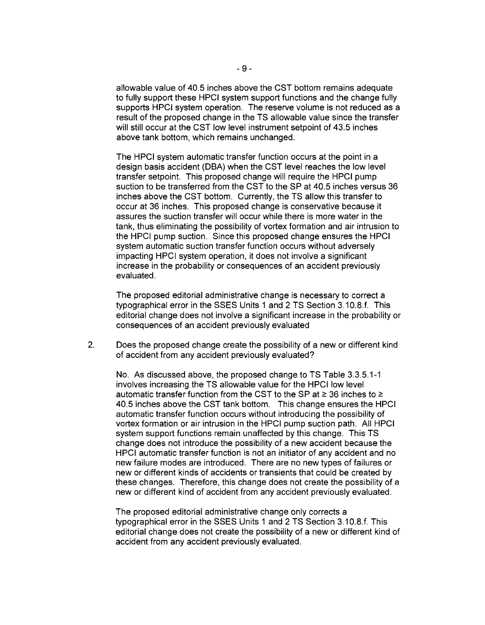allowable value of 40.5 inches above the CST bottom remains adequate to fully support these HPCI system support functions and the change fully supports HPCI system operation. The reserve volume is not reduced as a result of the proposed change in the TS allowable value since the transfer will still occur at the CST low level instrument setpoint of 43.5 inches above tank bottom, which remains unchanged.

The HPCI system automatic transfer function occurs at the point in a design basis accident (DBA) when the CST level reaches the low level transfer setpoint. This proposed change will require the HPCI pump suction to be transferred from the CST to the SP at 40.5 inches versus 36 inches above the CST bottom. Currently, the TS allow this transfer to occur at 36 inches. This proposed change is conservative because it assures the suction transfer will occur while there is more water in the tank, thus eliminating the possibility of vortex formation and air intrusion to the HPCI pump suction. Since this proposed change ensures the HPCI system automatic suction transfer function occurs without adversely impacting HPCI system operation, it does not involve a significant increase in the probability or consequences of an accident previously evaluated.

The proposed editorial administrative change is necessary to correct a typographical error in the SSES Units 1 and 2 TS Section 3.10.8.t. This editorial change does not involve a significant increase in the probability or consequences of an accident previously evaluated

2. Does the proposed change create the possibility of a new or different kind of accident from any accident previously evaluated?

No. As discussed above, the proposed change to TS Table 3.3.5.1-1 involves increasing the TS allowable value for the HPCI low level automatic transfer function from the CST to the SP at  $\ge$  36 inches to  $\ge$ 40.5 inches above the CST tank bottom. This change ensures the HPCI automatic transfer function occurs without introducing the possibility of vortex formation or air intrusion in the HPCI pump suction path. All HPCI system support functions remain unaffected by this change. This TS change does not introduce the possibility of a new accident because the HPCI automatic transfer function is not an initiator of any accident and no new failure modes are introduced. There are no new types of failures or new or different kinds of accidents or transients that could be created by these changes. Therefore, this change does not create the possibility of a new or different kind of accident from any accident previously evaluated.

The proposed editorial administrative change only corrects a typographical error in the SSES Units 1 and 2 TS Section 3.10.8.f. This editorial change does not create the possibility of a new or different kind of accident from any accident previously evaluated.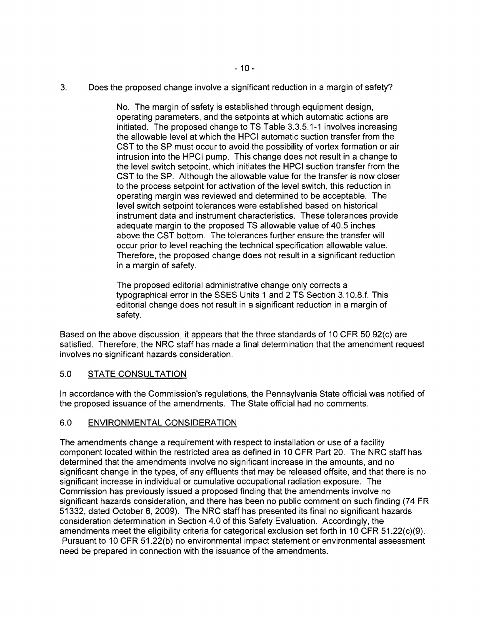3. Does the proposed change involve a significant reduction in a margin of safety?

No. The margin of safety is established through equipment design, operating parameters, and the setpoints at which automatic actions are initiated. The proposed change to TS Table 3.3.5.1-1 involves increasing the allowable level at which the HPCI automatic suction transfer from the CST to the SP must occur to avoid the possibility of vortex formation or air intrusion into the HPCI pump. This change does not result in a change to the level switch setpoint, which initiates the HPCI suction transfer from the CST to the SP. Although the allowable value for the transfer is now closer to the process setpoint for activation of the level switch, this reduction in operating margin was reviewed and determined to be acceptable. The level switch setpoint tolerances were established based on historical instrument data and instrument characteristics. These tolerances provide adequate margin to the proposed TS allowable value of 40.5 inches above the CST bottom. The tolerances further ensure the transfer will occur prior to level reaching the technical specification allowable value. Therefore, the proposed change does not result in a significant reduction in a margin of safety.

The proposed editorial administrative change only corrects a typographical error in the SSES Units 1 and 2 TS Section 3.1O.B.f. This editorial change does not result in a significant reduction in a margin of safety.

Based on the above discussion, it appears that the three standards of 10 CFR 50.92(c) are satisfied. Therefore, the NRC staff has made a final determination that the amendment request involves no significant hazards consideration.

# 5.0 STATE CONSULTATION

In accordance with the Commission's regulations, the Pennsylvania State official was notified of the proposed issuance of the amendments. The State official had no comments.

### 6.0 ENVIRONMENTAL CONSIDERATION

The amendments change a requirement with respect to installation or use of a facility component located within the restricted area as defined in 10 CFR Part 20. The NRC staff has determined that the amendments involve no significant increase in the amounts, and no significant change in the types, of any effluents that may be released offsite, and that there is no significant increase in individual or cumulative occupational radiation exposure. The Commission has previously issued a proposed finding that the amendments involve no significant hazards consideration, and there has been no public comment on such finding (74 FR 51332, dated October 6, 2009). The NRC staff has presented its final no significant hazards consideration determination in Section 4.0 of this Safety Evaluation. Accordingly, the amendments meet the eligibility criteria for categorical exclusion set forth in 10 CFR 51.22(c)(9). Pursuant to 10 CFR 51.22(b) no environmental impact statement or environmental assessment need be prepared in connection with the issuance of the amendments.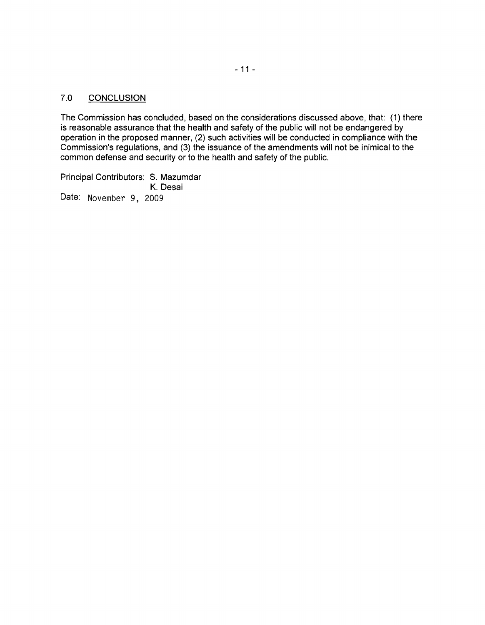# 7.0 CONCLUSION

The Commission has concluded, based on the considerations discussed above, that: (1) there is reasonable assurance that the health and safety of the public will not be endangered by operation in the proposed manner, (2) such activities will be conducted in compliance with the Commission's regulations, and (3) the issuance of the amendments will not be inimical to the common defense and security or to the health and safety of the public.

Principal Contributors: S. Mazumdar K. Desai Date: November 9, 2009